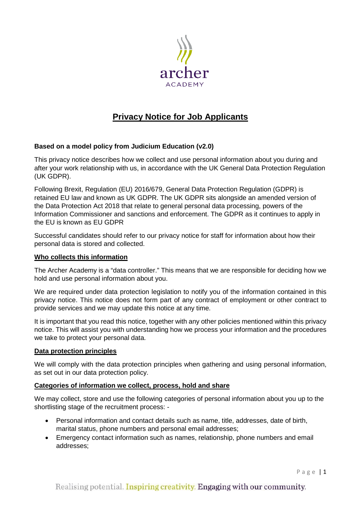

# **Privacy Notice for Job Applicants**

# **Based on a model policy from Judicium Education (v2.0)**

This privacy notice describes how we collect and use personal information about you during and after your work relationship with us, in accordance with the UK General Data Protection Regulation (UK GDPR).

Following Brexit, Regulation (EU) 2016/679, General Data Protection Regulation (GDPR) is retained EU law and known as UK GDPR. The UK GDPR sits alongside an amended version of the Data Protection Act 2018 that relate to general personal data processing, powers of the Information Commissioner and sanctions and enforcement. The GDPR as it continues to apply in the EU is known as EU GDPR

Successful candidates should refer to our privacy notice for staff for information about how their personal data is stored and collected.

## **Who collects this information**

The Archer Academy is a "data controller." This means that we are responsible for deciding how we hold and use personal information about you.

We are required under data protection legislation to notify you of the information contained in this privacy notice. This notice does not form part of any contract of employment or other contract to provide services and we may update this notice at any time.

It is important that you read this notice, together with any other policies mentioned within this privacy notice. This will assist you with understanding how we process your information and the procedures we take to protect your personal data.

#### **Data protection principles**

We will comply with the data protection principles when gathering and using personal information, as set out in our data protection policy.

# **Categories of information we collect, process, hold and share**

We may collect, store and use the following categories of personal information about you up to the shortlisting stage of the recruitment process: -

- Personal information and contact details such as name, title, addresses, date of birth, marital status, phone numbers and personal email addresses;
- Emergency contact information such as names, relationship, phone numbers and email addresses;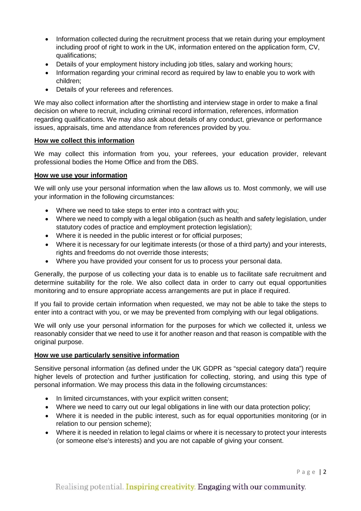- Information collected during the recruitment process that we retain during your employment including proof of right to work in the UK, information entered on the application form, CV, qualifications;
- Details of your employment history including job titles, salary and working hours;
- Information regarding your criminal record as required by law to enable you to work with children;
- Details of your referees and references.

We may also collect information after the shortlisting and interview stage in order to make a final decision on where to recruit, including criminal record information, references, information regarding qualifications. We may also ask about details of any conduct, grievance or performance issues, appraisals, time and attendance from references provided by you.

# **How we collect this information**

We may collect this information from you, your referees, your education provider, relevant professional bodies the Home Office and from the DBS.

## **How we use your information**

We will only use your personal information when the law allows us to. Most commonly, we will use your information in the following circumstances:

- Where we need to take steps to enter into a contract with you;
- Where we need to comply with a legal obligation (such as health and safety legislation, under statutory codes of practice and employment protection legislation);
- Where it is needed in the public interest or for official purposes;
- Where it is necessary for our legitimate interests (or those of a third party) and your interests, rights and freedoms do not override those interests;
- Where you have provided your consent for us to process your personal data.

Generally, the purpose of us collecting your data is to enable us to facilitate safe recruitment and determine suitability for the role. We also collect data in order to carry out equal opportunities monitoring and to ensure appropriate access arrangements are put in place if required.

If you fail to provide certain information when requested, we may not be able to take the steps to enter into a contract with you, or we may be prevented from complying with our legal obligations.

We will only use your personal information for the purposes for which we collected it, unless we reasonably consider that we need to use it for another reason and that reason is compatible with the original purpose.

# **How we use particularly sensitive information**

Sensitive personal information (as defined under the UK GDPR as "special category data") require higher levels of protection and further justification for collecting, storing, and using this type of personal information. We may process this data in the following circumstances:

- In limited circumstances, with your explicit written consent;
- Where we need to carry out our legal obligations in line with our data protection policy;
- Where it is needed in the public interest, such as for equal opportunities monitoring (or in relation to our pension scheme);
- Where it is needed in relation to legal claims or where it is necessary to protect your interests (or someone else's interests) and you are not capable of giving your consent.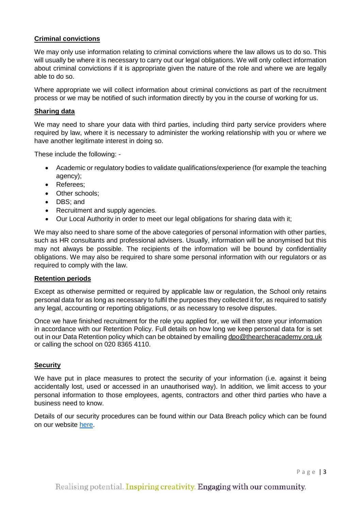# **Criminal convictions**

We may only use information relating to criminal convictions where the law allows us to do so. This will usually be where it is necessary to carry out our legal obligations. We will only collect information about criminal convictions if it is appropriate given the nature of the role and where we are legally able to do so.

Where appropriate we will collect information about criminal convictions as part of the recruitment process or we may be notified of such information directly by you in the course of working for us.

## **Sharing data**

We may need to share your data with third parties, including third party service providers where required by law, where it is necessary to administer the working relationship with you or where we have another legitimate interest in doing so.

These include the following: -

- Academic or regulatory bodies to validate qualifications/experience (for example the teaching agency);
- Referees;
- Other schools;
- DBS; and
- Recruitment and supply agencies.
- Our Local Authority in order to meet our legal obligations for sharing data with it;

We may also need to share some of the above categories of personal information with other parties, such as HR consultants and professional advisers. Usually, information will be anonymised but this may not always be possible. The recipients of the information will be bound by confidentiality obligations. We may also be required to share some personal information with our regulators or as required to comply with the law.

#### **Retention periods**

Except as otherwise permitted or required by applicable law or regulation, the School only retains personal data for as long as necessary to fulfil the purposes they collected it for, as required to satisfy any legal, accounting or reporting obligations, or as necessary to resolve disputes.

Once we have finished recruitment for the role you applied for, we will then store your information in accordance with our Retention Policy. Full details on how long we keep personal data for is set out in our Data Retention policy which can be obtained by emailing [dpo@thearcheracademy.org.uk](mailto:dpo@thearcheracademy.org.uk) or calling the school on 020 8365 4110.

#### **Security**

We have put in place measures to protect the security of your information (i.e. against it being accidentally lost, used or accessed in an unauthorised way). In addition, we limit access to your personal information to those employees, agents, contractors and other third parties who have a business need to know.

Details of our security procedures can be found within our Data Breach policy which can be found on our website [here.](https://thearcheracademy.org.uk/data-protection/)